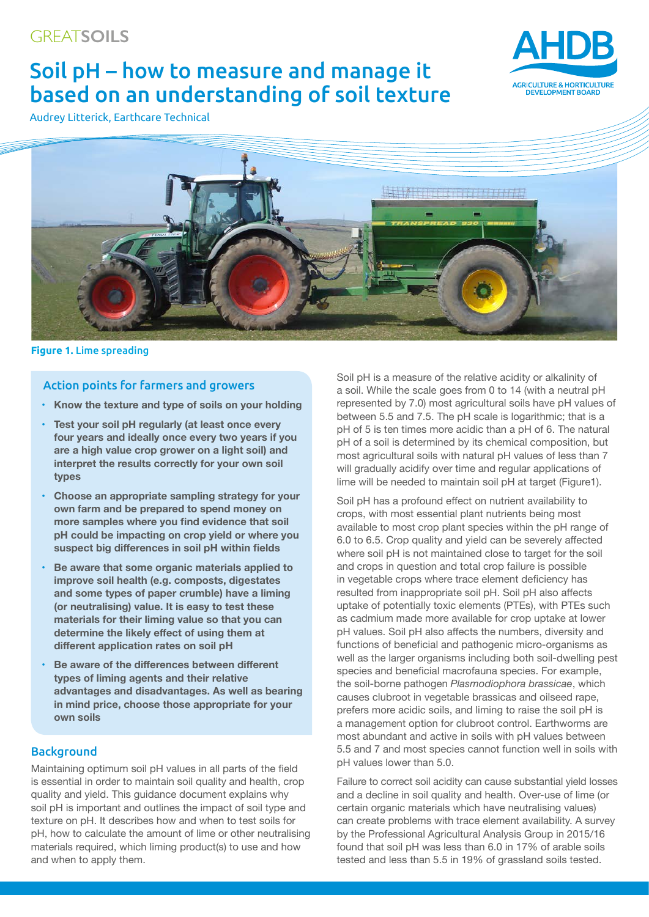# Soil pH – how to measure and manage it based on an understanding of soil texture

Audrey Litterick, Earthcare Technical





**Figure 1.** Lime spreading

# Action points for farmers and growers

- **• Know the texture and type of soils on your holding**
- **• Test your soil pH regularly (at least once every four years and ideally once every two years if you are a high value crop grower on a light soil) and interpret the results correctly for your own soil types**
- **• Choose an appropriate sampling strategy for your own farm and be prepared to spend money on more samples where you find evidence that soil pH could be impacting on crop yield or where you suspect big differences in soil pH within fields**
- **• Be aware that some organic materials applied to improve soil health (e.g. composts, digestates and some types of paper crumble) have a liming (or neutralising) value. It is easy to test these materials for their liming value so that you can determine the likely effect of using them at different application rates on soil pH**
- **• Be aware of the differences between different types of liming agents and their relative advantages and disadvantages. As well as bearing in mind price, choose those appropriate for your own soils**

## **Background**

Maintaining optimum soil pH values in all parts of the field is essential in order to maintain soil quality and health, crop quality and yield. This guidance document explains why soil pH is important and outlines the impact of soil type and texture on pH. It describes how and when to test soils for pH, how to calculate the amount of lime or other neutralising materials required, which liming product(s) to use and how and when to apply them.

Soil pH is a measure of the relative acidity or alkalinity of a soil. While the scale goes from 0 to 14 (with a neutral pH represented by 7.0) most agricultural soils have pH values of between 5.5 and 7.5. The pH scale is logarithmic; that is a pH of 5 is ten times more acidic than a pH of 6. The natural pH of a soil is determined by its chemical composition, but most agricultural soils with natural pH values of less than 7 will gradually acidify over time and regular applications of lime will be needed to maintain soil pH at target (Figure1).

Soil pH has a profound effect on nutrient availability to crops, with most essential plant nutrients being most available to most crop plant species within the pH range of 6.0 to 6.5. Crop quality and yield can be severely affected where soil pH is not maintained close to target for the soil and crops in question and total crop failure is possible in vegetable crops where trace element deficiency has resulted from inappropriate soil pH. Soil pH also affects uptake of potentially toxic elements (PTEs), with PTEs such as cadmium made more available for crop uptake at lower pH values. Soil pH also affects the numbers, diversity and functions of beneficial and pathogenic micro-organisms as well as the larger organisms including both soil-dwelling pest species and beneficial macrofauna species. For example, the soil-borne pathogen *Plasmodiophora brassicae*, which causes clubroot in vegetable brassicas and oilseed rape, prefers more acidic soils, and liming to raise the soil pH is a management option for clubroot control. Earthworms are most abundant and active in soils with pH values between 5.5 and 7 and most species cannot function well in soils with pH values lower than 5.0.

Failure to correct soil acidity can cause substantial yield losses and a decline in soil quality and health. Over-use of lime (or certain organic materials which have neutralising values) can create problems with trace element availability. A survey by the Professional Agricultural Analysis Group in 2015/16 found that soil pH was less than 6.0 in 17% of arable soils tested and less than 5.5 in 19% of grassland soils tested.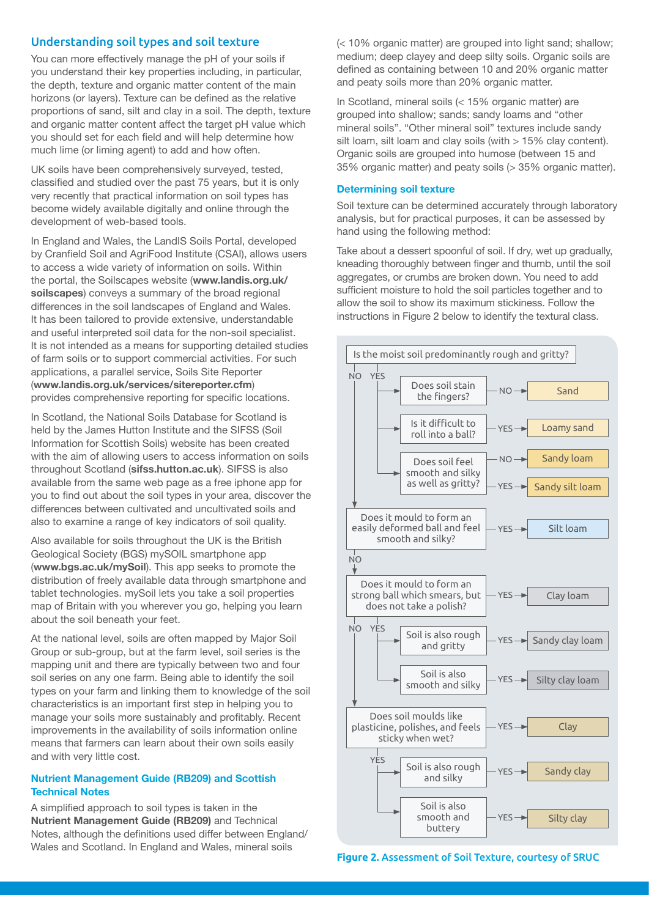## Understanding soil types and soil texture

You can more effectively manage the pH of your soils if you understand their key properties including, in particular, the depth, texture and organic matter content of the main horizons (or layers). Texture can be defined as the relative proportions of sand, silt and clay in a soil. The depth, texture and organic matter content affect the target pH value which you should set for each field and will help determine how much lime (or liming agent) to add and how often.

UK soils have been comprehensively surveyed, tested, classified and studied over the past 75 years, but it is only very recently that practical information on soil types has become widely available digitally and online through the development of web-based tools.

In England and Wales, the LandIS Soils Portal, developed by Cranfield Soil and AgriFood Institute (CSAI), allows users to access a wide variety of information on soils. Within the portal, the Soilscapes website (**[www.landis.org.uk/](http://www.landis.org.uk/soilscapes) [soilscapes](http://www.landis.org.uk/soilscapes)**) conveys a summary of the broad regional differences in the soil landscapes of England and Wales. It has been tailored to provide extensive, understandable and useful interpreted soil data for the non-soil specialist. It is not intended as a means for supporting detailed studies of farm soils or to support commercial activities. For such applications, a parallel service, Soils Site Reporter (**[www.landis.org.uk/services/sitereporter.cfm](http://www.landis.org.uk/services/sitereporter.cfm)**) provides comprehensive reporting for specific locations.

In Scotland, the National Soils Database for Scotland is held by the James Hutton Institute and the SIFSS (Soil Information for Scottish Soils) website has been created with the aim of allowing users to access information on soils throughout Scotland (**[sifss.hutton.ac.uk](http://sifss.hutton.ac.uk)**). SIFSS is also available from the same web page as a free iphone app for you to find out about the soil types in your area, discover the differences between cultivated and uncultivated soils and also to examine a range of key indicators of soil quality.

Also available for soils throughout the UK is the British Geological Society (BGS) mySOIL smartphone app (**[www.bgs.ac.uk/mySoil](http://www.bgs.ac.uk/mySoil)**). This app seeks to promote the distribution of freely available data through smartphone and tablet technologies. mySoil lets you take a soil properties map of Britain with you wherever you go, helping you learn about the soil beneath your feet.

At the national level, soils are often mapped by Major Soil Group or sub-group, but at the farm level, soil series is the mapping unit and there are typically between two and four soil series on any one farm. Being able to identify the soil types on your farm and linking them to knowledge of the soil characteristics is an important first step in helping you to manage your soils more sustainably and profitably. Recent improvements in the availability of soils information online means that farmers can learn about their own soils easily and with very little cost.

#### **Nutrient Management Guide (RB209) and Scottish Technical Notes**

A simplified approach to soil types is taken in the **[Nutrient Management Guide \(RB209\)](http://www.ahdb.org.uk/projects/RB209.aspx)** and Technical Notes, although the definitions used differ between England/ Wales and Scotland. In England and Wales, mineral soils

(< 10% organic matter) are grouped into light sand; shallow; medium; deep clayey and deep silty soils. Organic soils are defined as containing between 10 and 20% organic matter and peaty soils more than 20% organic matter.

In Scotland, mineral soils (< 15% organic matter) are grouped into shallow; sands; sandy loams and "other mineral soils". "Other mineral soil" textures include sandy silt loam, silt loam and clay soils (with  $> 15\%$  clay content). Organic soils are grouped into humose (between 15 and 35% organic matter) and peaty soils (> 35% organic matter).

#### **Determining soil texture**

Soil texture can be determined accurately through laboratory analysis, but for practical purposes, it can be assessed by hand using the following method:

Take about a dessert spoonful of soil. If dry, wet up gradually, kneading thoroughly between finger and thumb, until the soil aggregates, or crumbs are broken down. You need to add sufficient moisture to hold the soil particles together and to allow the soil to show its maximum stickiness. Follow the instructions in Figure 2 below to identify the textural class.



**Figure 2.** Assessment of Soil Texture, courtesy of SRUC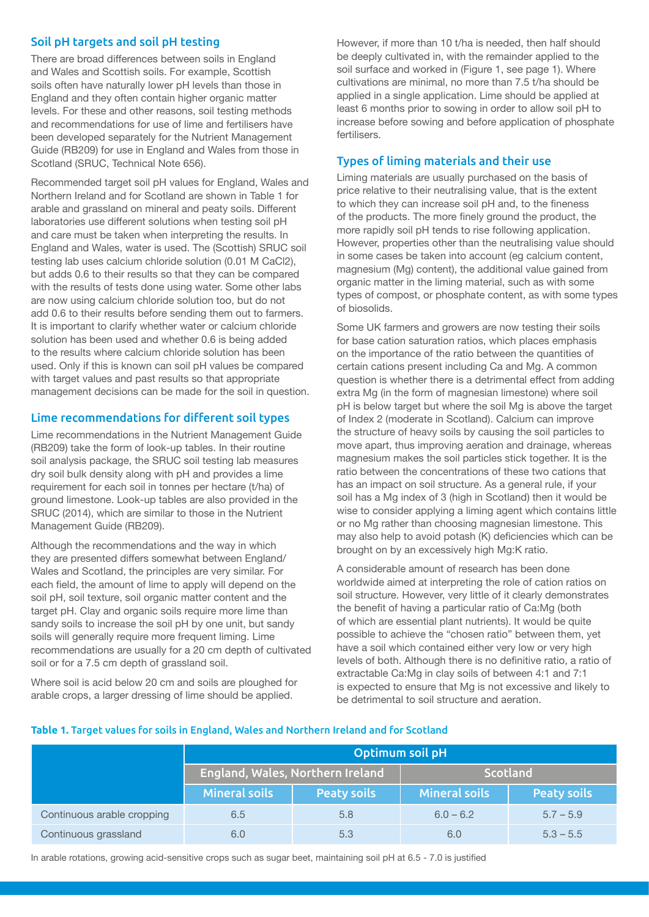# Soil pH targets and soil pH testing

There are broad differences between soils in England and Wales and Scottish soils. For example, Scottish soils often have naturally lower pH levels than those in England and they often contain higher organic matter levels. For these and other reasons, soil testing methods and recommendations for use of lime and fertilisers have been developed separately for the Nutrient Management Guide (RB209) for use in England and Wales from those in Scotland (SRUC, Technical Note 656).

Recommended target soil pH values for England, Wales and Northern Ireland and for Scotland are shown in Table 1 for arable and grassland on mineral and peaty soils. Different laboratories use different solutions when testing soil pH and care must be taken when interpreting the results. In England and Wales, water is used. The (Scottish) SRUC soil testing lab uses calcium chloride solution (0.01 M CaCl2), but adds 0.6 to their results so that they can be compared with the results of tests done using water. Some other labs are now using calcium chloride solution too, but do not add 0.6 to their results before sending them out to farmers. It is important to clarify whether water or calcium chloride solution has been used and whether 0.6 is being added to the results where calcium chloride solution has been used. Only if this is known can soil pH values be compared with target values and past results so that appropriate management decisions can be made for the soil in question.

# Lime recommendations for different soil types

Lime recommendations in the Nutrient Management Guide (RB209) take the form of look-up tables. In their routine soil analysis package, the SRUC soil testing lab measures dry soil bulk density along with pH and provides a lime requirement for each soil in tonnes per hectare (t/ha) of ground limestone. Look-up tables are also provided in the SRUC (2014), which are similar to those in the Nutrient Management Guide (RB209).

Although the recommendations and the way in which they are presented differs somewhat between England/ Wales and Scotland, the principles are very similar. For each field, the amount of lime to apply will depend on the soil pH, soil texture, soil organic matter content and the target pH. Clay and organic soils require more lime than sandy soils to increase the soil pH by one unit, but sandy soils will generally require more frequent liming. Lime recommendations are usually for a 20 cm depth of cultivated soil or for a 7.5 cm depth of grassland soil.

Where soil is acid below 20 cm and soils are ploughed for arable crops, a larger dressing of lime should be applied.

However, if more than 10 t/ha is needed, then half should be deeply cultivated in, with the remainder applied to the soil surface and worked in (Figure 1, see page 1). Where cultivations are minimal, no more than 7.5 t/ha should be applied in a single application. Lime should be applied at least 6 months prior to sowing in order to allow soil pH to increase before sowing and before application of phosphate fertilisers.

# Types of liming materials and their use

Liming materials are usually purchased on the basis of price relative to their neutralising value, that is the extent to which they can increase soil pH and, to the fineness of the products. The more finely ground the product, the more rapidly soil pH tends to rise following application. However, properties other than the neutralising value should in some cases be taken into account (eg calcium content, magnesium (Mg) content), the additional value gained from organic matter in the liming material, such as with some types of compost, or phosphate content, as with some types of biosolids.

Some UK farmers and growers are now testing their soils for base cation saturation ratios, which places emphasis on the importance of the ratio between the quantities of certain cations present including Ca and Mg. A common question is whether there is a detrimental effect from adding extra Mg (in the form of magnesian limestone) where soil pH is below target but where the soil Mg is above the target of Index 2 (moderate in Scotland). Calcium can improve the structure of heavy soils by causing the soil particles to move apart, thus improving aeration and drainage, whereas magnesium makes the soil particles stick together. It is the ratio between the concentrations of these two cations that has an impact on soil structure. As a general rule, if your soil has a Mg index of 3 (high in Scotland) then it would be wise to consider applying a liming agent which contains little or no Mg rather than choosing magnesian limestone. This may also help to avoid potash (K) deficiencies which can be brought on by an excessively high Mg:K ratio.

A considerable amount of research has been done worldwide aimed at interpreting the role of cation ratios on soil structure. However, very little of it clearly demonstrates the benefit of having a particular ratio of Ca:Mg (both of which are essential plant nutrients). It would be quite possible to achieve the "chosen ratio" between them, yet have a soil which contained either very low or very high levels of both. Although there is no definitive ratio, a ratio of extractable Ca:Mg in clay soils of between 4:1 and 7:1 is expected to ensure that Mg is not excessive and likely to be detrimental to soil structure and aeration.

#### **Table 1.** Target values for soils in England, Wales and Northern Ireland and for Scotland

|                            | Optimum soil pH      |                                  |                      |                    |  |  |  |
|----------------------------|----------------------|----------------------------------|----------------------|--------------------|--|--|--|
|                            |                      | England, Wales, Northern Ireland | Scotland             |                    |  |  |  |
|                            | <b>Mineral soils</b> | <b>Peaty soils</b>               | <b>Mineral soils</b> | <b>Peaty soils</b> |  |  |  |
| Continuous arable cropping | 6.5                  | 5.8                              | $6.0 - 6.2$          | $5.7 - 5.9$        |  |  |  |
| Continuous grassland       | 6.0                  | 5.3                              | 6.0                  | $5.3 - 5.5$        |  |  |  |

In arable rotations, growing acid-sensitive crops such as sugar beet, maintaining soil pH at 6.5 - 7.0 is justified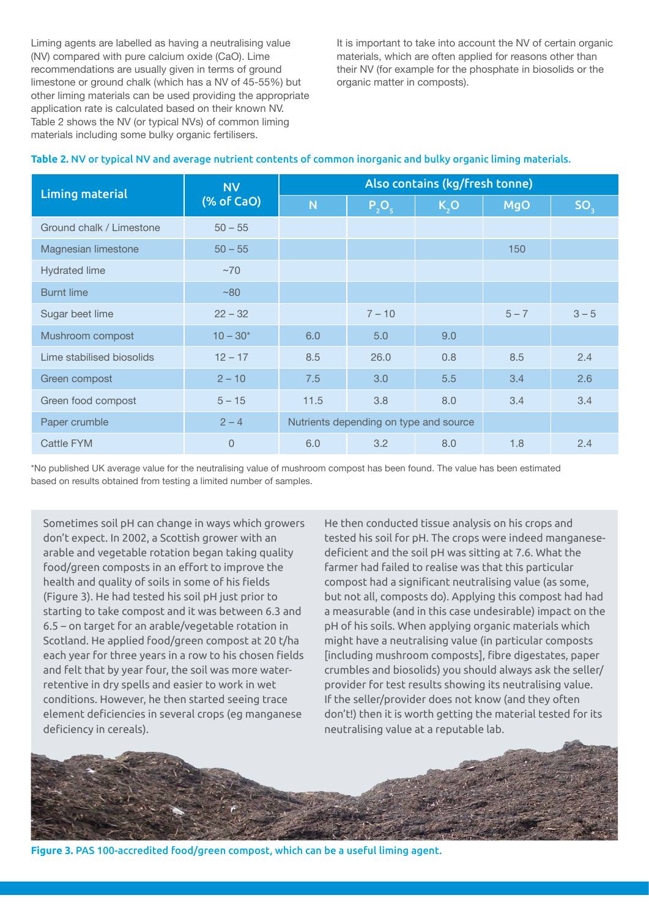Liming agents are labelled as having a neutralising value (NV) compared with pure calcium oxide (CaO). Lime recommendations are usually given in terms of ground limestone or ground chalk (which has a NV of 45-55%) but other liming materials can be used providing the appropriate application rate is calculated based on their known NV. Table 2 shows the NV (or typical NVs) of common liming materials including some bulky organic fertilisers.

It is important to take into account the NV of certain organic materials, which are often applied for reasons other than their NV (for example for the phosphate in biosolids or the organic matter in composts).

| <b>Liming material</b>    | <b>NV</b><br>(% of CaO) | Also contains (kg/fresh tonne)         |          |      |            |                 |  |
|---------------------------|-------------------------|----------------------------------------|----------|------|------------|-----------------|--|
|                           |                         | N <sub>1</sub>                         | $P_2O_5$ | K, O | <b>MgO</b> | SO <sub>3</sub> |  |
| Ground chalk / Limestone  | $50 - 55$               |                                        |          |      |            |                 |  |
| Magnesian limestone       | $50 - 55$               |                                        |          |      | 150        |                 |  |
| <b>Hydrated lime</b>      | $~1$ ~70                |                                        |          |      |            |                 |  |
| <b>Burnt lime</b>         | ~80                     |                                        |          |      |            |                 |  |
| Sugar beet lime           | $22 - 32$               |                                        | $7 - 10$ |      | $5 - 7$    | $3 - 5$         |  |
| Mushroom compost          | $10 - 30*$              | 6.0                                    | 5.0      | 9.0  |            |                 |  |
| Lime stabilised biosolids | $12 - 17$               | 8.5                                    | 26.0     | 0.8  | 8.5        | 2.4             |  |
| Green compost             | $2 - 10$                | 7.5                                    | 3.0      | 5.5  | 3.4        | 2.6             |  |
| Green food compost        | $5 - 15$                | 11.5                                   | 3.8      | 8.0  | 3.4        | 3.4             |  |
| Paper crumble             | $2 - 4$                 | Nutrients depending on type and source |          |      |            |                 |  |
| Cattle FYM                | $\overline{0}$          | 6.0                                    | 3.2      | 8.0  | 1.8        | 2.4             |  |

## **Table 2.** NV or typical NV and average nutrient contents of common inorganic and bulky organic liming materials.

\*No published UK average value for the neutralising value of mushroom compost has been found. The value has been estimated based on results obtained from testing a limited number of samples.

Sometimes soil pH can change in ways which growers don't expect. In 2002, a Scottish grower with an arable and vegetable rotation began taking quality food/green composts in an effort to improve the health and quality of soils in some of his fields (Figure 3). He had tested his soil pH just prior to starting to take compost and it was between 6.3 and 6.5 – on target for an arable/vegetable rotation in Scotland. He applied food/green compost at 20 t/ha each year for three years in a row to his chosen fields and felt that by year four, the soil was more waterretentive in dry spells and easier to work in wet conditions. However, he then started seeing trace element deficiencies in several crops (eg manganese deficiency in cereals).

He then conducted tissue analysis on his crops and tested his soil for pH. The crops were indeed manganesedeficient and the soil pH was sitting at 7.6. What the farmer had failed to realise was that this particular compost had a significant neutralising value (as some, but not all, composts do). Applying this compost had had a measurable (and in this case undesirable) impact on the pH of his soils. When applying organic materials which might have a neutralising value (in particular composts [including mushroom composts], fibre digestates, paper crumbles and biosolids) you should always ask the seller/ provider for test results showing its neutralising value. If the seller/provider does not know (and they often don't!) then it is worth getting the material tested for its neutralising value at a reputable lab.



**Figure 3.** PAS 100-accredited food/green compost, which can be a useful liming agent.